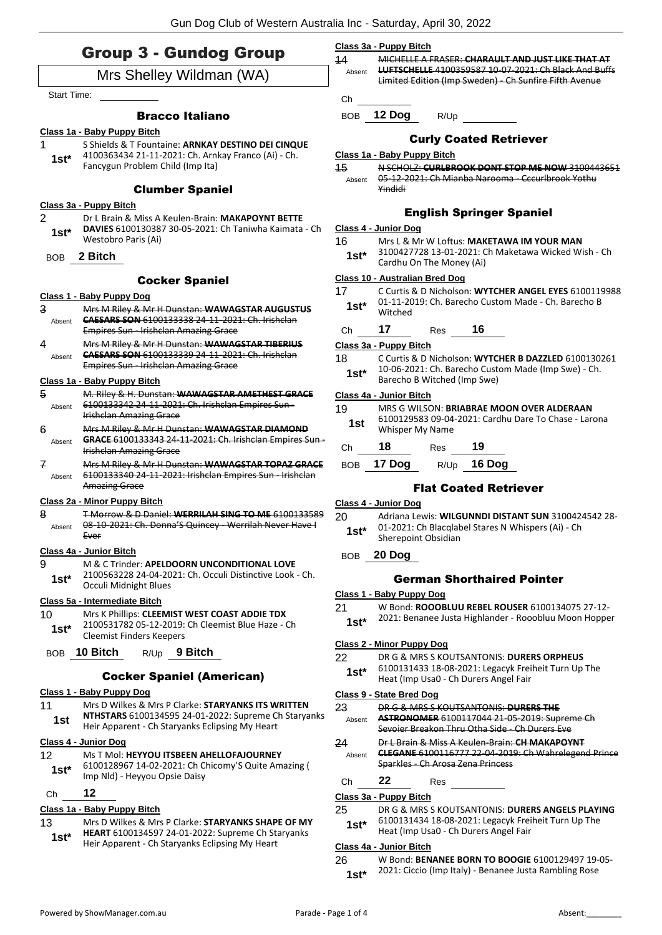### Group 3 - Gundog Group

### Mrs Shelley Wildman (WA)

Start Time:

#### Bracco Italiano

#### **Class 1a - Baby Puppy Bitch**

1 S Shields & T Fountaine: **ARNKAY DESTINO DEI CINQUE** 4100363434 21-11-2021: Ch. Arnkay Franco (Ai) - Ch. Fancygun Problem Child (Imp Ita) **1st\***

#### Clumber Spaniel

#### **Class 3a - Puppy Bitch**

- 2 Dr L Brain & Miss A Keulen-Brain: **MAKAPOYNT BETTE DAVIES** 6100130387 30-05-2021: Ch Taniwha Kaimata - Ch Westobro Paris (Ai) **1st\***
- BOB **2 Bitch**

#### Cocker Spaniel

#### **Class 1 - Baby Puppy Dog**

- 3 Mrs M Riley & Mr H Dunstan: **WAWAGSTAR AUGUSTUS CAESARS SON** 6100133338 24-11-2021: Ch. Irishclan Empires Sun - Irishclan Amazing Grace Absent
- 4 Mrs M Riley & Mr H Dunstan: **WAWAGSTAR TIBERIUS CAESARS SON** 6100133339 24-11-2021: Ch. Irishclan Empires Sun - Irishclan Amazing Grace Absent

#### **Class 1a - Baby Puppy Bitch**

- 5 M. Riley & H. Dunstan: **WAWAGSTAR AMETHEST GRACE** 6100133342 24-11-2021: Ch. Irishclan Empires Sun - Irishclan Amazing Grace Absent
- 6 Mrs M Riley & Mr H Dunstan: **WAWAGSTAR DIAMOND GRACE** 6100133343 24-11-2021: Ch. Irishclan Empires Sun - Irishclan Amazing Grace Absent
- 7 Mrs M Riley & Mr H Dunstan: **WAWAGSTAR TOPAZ GRACE** 6100133340 24-11-2021: Irishclan Empires Sun - Irishclan Amazing Grace Absent

#### **Class 2a - Minor Puppy Bitch**

8 T Morrow & D Daniel: **WERRILAH SING TO ME** 6100133589 08-10-2021: Ch. Donna'S Quincey - Werrilah Never Have I Ever Absent

#### **Class 4a - Junior Bitch**

- 9 M & C Trinder: **APELDOORN UNCONDITIONAL LOVE** 2100563228 24-04-2021: Ch. Occuli Distinctive Look - Ch.
	- Occuli Midnight Blues **1st\***

#### **Class 5a - Intermediate Bitch**

- 10 Mrs K Phillips: **CLEEMIST WEST COAST ADDIE TDX**
	- 2100531782 05-12-2019: Ch Cleemist Blue Haze Ch Cleemist Finders Keepers **1st\***
- BOB **10 Bitch** R/Up **9 Bitch**

#### Cocker Spaniel (American)

#### **Class 1 - Baby Puppy Dog**

11 Mrs D Wilkes & Mrs P Clarke: **STARYANKS ITS WRITTEN NTHSTARS** 6100134595 24-01-2022: Supreme Ch Staryanks Heir Apparent - Ch Staryanks Eclipsing My Heart **1st**

#### **Class 4 - Junior Dog**

#### 12 Ms T Mol: **HEYYOU ITSBEEN AHELLOFAJOURNEY**

6100128967 14-02-2021: Ch Chicomy'S Quite Amazing ( **1st**\* b100128967 14-02-2021: Ch C<br>Imp Nld) - Heyyou Opsie Daisy

#### Ch **12**

#### **Class 1a - Baby Puppy Bitch**

- 13 Mrs D Wilkes & Mrs P Clarke: **STARYANKS SHAPE OF MY HEART** 6100134597 24-01-2022: Supreme Ch Staryanks
- **1st 15th Apparent Christian** Christian Heir Apparent Christianus Eclipsing My Heart

#### **Class 3a - Puppy Bitch**

| $\overline{11}$<br>Absent |        | MICHELLE A FRASER: CHARAULT AND JUST LIKE THAT AT<br><b>LUFTSCHELLE</b> 4100359587 10-07-2021: Ch Black And Buffs<br>Limited Edition (Imp Sweden) - Ch Sunfire Fifth Avenue |
|---------------------------|--------|-----------------------------------------------------------------------------------------------------------------------------------------------------------------------------|
| <b>ROB</b>                | 12 Dog | R/Up                                                                                                                                                                        |

#### Curly Coated Retriever

#### **Class 1a - Baby Puppy Bitch**

15 N SCHOLZ: **CURLBROOK DONT STOP ME NOW** 3100443651 05-12-2021: Ch Mianba Narooma - Cccurlbrook Yothu Yindidi Absent

#### English Springer Spaniel

#### **Class 4 - Junior Dog**

- 16 Mrs L & Mr W Loftus: **MAKETAWA IM YOUR MAN**
- 3100427728 13-01-2021: Ch Maketawa Wicked Wish Ch **1st**\* 3100427728 13-01-2021: C<br>Cardhu On The Money (Ai)

#### **Class 10 - Australian Bred Dog**

- 17 C Curtis & D Nicholson: **WYTCHER ANGEL EYES** 6100119988 01-11-2019: Ch. Barecho Custom Made - Ch. Barecho B Witched **1st\***
- Ch **17** Res **16**

#### **Class 3a - Puppy Bitch**

- 18 C Curtis & D Nicholson: **WYTCHER B DAZZLED** 6100130261 10-06-2021: Ch. Barecho Custom Made (Imp Swe) - Ch. **1st**\* IV-06-2021: Ch. Barecho Cust<br>Barecho B Witched (Imp Swe)
- **Class 4a - Junior Bitch**

- 19 MRS G WILSON: **BRIABRAE MOON OVER ALDERAAN** 6100129583 09-04-2021: Cardhu Dare To Chase - Larona Whisper My Name **1st**
- Ch **18** Res **19**
- BOB **17 Dog** R/Up **16 Dog**

#### Flat Coated Retriever

#### **Class 4 - Junior Dog**

- 20 Adriana Lewis: **WILGUNNDI DISTANT SUN** 3100424542 28- 01-2021: Ch Blacqlabel Stares N Whispers (Ai) - Ch
- **1st**\* ULEVALE CRIBIACQUARE

#### German Shorthaired Pointer

- **Class 1 - Baby Puppy Dog**
- 21 W Bond: **ROOOBLUU REBEL ROUSER** 6100134075 27-12-
- 2021: Benanee Justa Highlander Rooobluu Moon Hopper **1st\***

#### **Class 2 - Minor Puppy Dog**

22 DR G & MRS S KOUTSANTONIS: **DURERS ORPHEUS** 6100131433 18-08-2021: Legacyk Freiheit Turn Up The 1st\* b100131433 18-08-2021: Legacyk Frei<br>Heat (Imp Usa0 - Ch Durers Angel Fair

#### **Class 9 - State Bred Dog**

- 23 DR G & MRS S KOUTSANTONIS: **DURERS THE ASTRONOMER** 6100117044 21-05-2019: Supreme Ch Sevoier Breakon Thru Otha Side - Ch Durers Eve Absent
- 24 Dr L Brain & Miss A Keulen-Brain: **CH MAKAPOYNT CLEGANE** 6100116777 22-04-2019: Ch Wahrelegend Prince Sparkles - Ch Arosa Zena Princess Absent

### Ch **22** Res

#### **Class 3a - Puppy Bitch**

- 25 DR G & MRS S KOUTSANTONIS: **DURERS ANGELS PLAYING** 6100131434 18-08-2021: Legacyk Freiheit Turn Up The
	- 1st\* b100131434 18-08-2021: Legacyk Frei<br>Heat (Imp Usa0 Ch Durers Angel Fair

#### **Class 4a - Junior Bitch**

26 W Bond: **BENANEE BORN TO BOOGIE** 6100129497 19-05- 2021: Ciccio (Imp Italy) - Benanee Justa Rambling Rose **1st\***

BOB **20 Dog**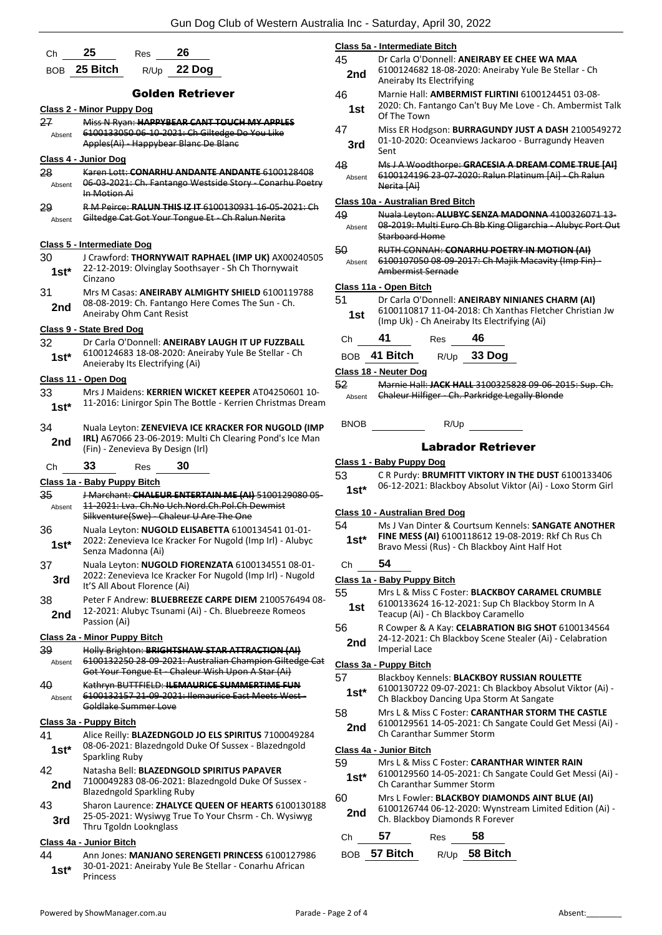| Сh           | 25<br>26<br>Res                                                                                              |
|--------------|--------------------------------------------------------------------------------------------------------------|
| <b>BOB</b>   | 25 Bitch<br>22 Dog<br>R/Up                                                                                   |
|              | Golden Retriever                                                                                             |
|              | <b>Class 2 - Minor Puppy Dog</b>                                                                             |
| 27           | Miss N Ryan: HAPPYBEAR CANT TOUCH MY APPLES                                                                  |
| Absent       | 6100133050 06-10-2021: Ch Giltedge Do You Like<br>Apples(Ai) - Happybear Blanc De Blanc                      |
|              | Class 4 - Junior Dog                                                                                         |
| 28           | Karen Lott: CONARHU ANDANTE ANDANTE 6100128408                                                               |
| Absent       | 06-03-2021: Ch. Fantango Westside Story - Conarhu Poetry<br>In Motion Ai                                     |
| 29<br>Absent | R M Peirce: RALUN THIS IZ IT 6100130931 16-05-2021: Ch<br>Giltedge Cat Got Your Tongue Et - Ch Ralun Nerita  |
|              | Class 5 - Intermediate Dog                                                                                   |
| 30           | J Crawford: THORNYWAIT RAPHAEL (IMP UK) AX00240505                                                           |
| 1st*         | 22-12-2019: Olvinglay Soothsayer - Sh Ch Thornywait<br>Cinzano                                               |
| 31           | Mrs M Casas: ANEIRABY ALMIGHTY SHIELD 6100119788                                                             |
| 2nd          | 08-08-2019: Ch. Fantango Here Comes The Sun - Ch.                                                            |
|              | Aneiraby Ohm Cant Resist                                                                                     |
|              | Class 9 - State Bred Dog                                                                                     |
| 32<br>1st*   | Dr Carla O'Donnell: ANEIRABY LAUGH IT UP FUZZBALL<br>6100124683 18-08-2020: Aneiraby Yule Be Stellar - Ch    |
|              | Aneieraby Its Electrifying (Ai)                                                                              |
|              | Class 11 - Open Dog                                                                                          |
| 33           | Mrs J Maidens: KERRIEN WICKET KEEPER AT04250601 10-                                                          |
| $1st*$       | 11-2016: Linirgor Spin The Bottle - Kerrien Christmas Dream                                                  |
| 34           | Nuala Leyton: ZENEVIEVA ICE KRACKER FOR NUGOLD (IMP                                                          |
| 2nd          | IRL) A67066 23-06-2019: Multi Ch Clearing Pond's Ice Man<br>(Fin) - Zenevieva By Design (Irl)                |
| Сh           | 30<br>33<br>Res                                                                                              |
|              | Class 1a - Baby Puppy Bitch                                                                                  |
| 35           | J Marchant: CHALEUR ENTERTAIN ME (AI) 5100129080 05-                                                         |
| Absent       | 11-2021: Lya. Ch.No Uch.Nord.Ch.Pol.Ch Dewmist<br>Silkventure(Swe) Chaleur U Are The One                     |
| 36           | Nuala Leyton: NUGOLD ELISABETTA 6100134541 01-01-                                                            |
| $1st*$       | 2022: Zenevieva Ice Kracker For Nugold (Imp Irl) - Alubyc<br>Senza Madonna (Ai)                              |
| 37           | Nuala Leyton: NUGOLD FIORENZATA 6100134551 08-01-                                                            |
| 3rd          | 2022: Zenevieva Ice Kracker For Nugold (Imp Irl) - Nugold                                                    |
|              | It'S All About Florence (Ai)                                                                                 |
| 38           | Peter F Andrew: BLUEBREEZE CARPE DIEM 2100576494 08-<br>12-2021: Alubyc Tsunami (Ai) - Ch. Bluebreeze Romeos |
| 2nd          | Passion (Ai)                                                                                                 |
|              | Class 2a - Minor Puppy Bitch                                                                                 |
| 39           | Holly Brighton: BRIGHTSHAW STAR ATTRACTION (AI)                                                              |
| Absent       | 6100132250 28-09-2021: Australian Champion Giltedge Cat<br>Got Your Tongue Et Chaleur Wish Upon A Star (Ai)  |
| 40           | Kathryn BUTTFIELD: ILEMAURICE SUMMERTIME FUN                                                                 |
| Absent       | 6100132157 21-09-2021: Ilemaurice East Meets West-<br>Goldlake Summer Love                                   |
|              | Class 3a - Puppy Bitch                                                                                       |
| 41           | Alice Reilly: BLAZEDNGOLD JO ELS SPIRITUS 7100049284<br>08-06-2021: Blazedngold Duke Of Sussex - Blazedngold |
| $1st^*$      | Sparkling Ruby                                                                                               |
| 42           | Natasha Bell: BLAZEDNGOLD SPIRITUS PAPAVER                                                                   |
| 2nd          | 7100049283 08-06-2021: Blazedngold Duke Of Sussex -                                                          |
|              | <b>Blazedngold Sparkling Ruby</b>                                                                            |
|              |                                                                                                              |
| 43           | Sharon Laurence: ZHALYCE QUEEN OF HEARTS 6100130188<br>25-05-2021: Wysiwyg True To Your Chsrm - Ch. Wysiwyg  |
| 3rd          | Thru Tgoldn Looknglass                                                                                       |

44 Ann Jones: **MANJANO SERENGETI PRINCESS** 6100127986 30-01-2021: Aneiraby Yule Be Stellar - Conarhu African **1st**\* <sup>30-01-20</sup><br>Princess

|            |              | Class 5a - Intermediate Bitch                                                                                                                               |  |  |
|------------|--------------|-------------------------------------------------------------------------------------------------------------------------------------------------------------|--|--|
|            | 45<br>2nd    | Dr Carla O'Donnell: ANEIRABY EE CHEE WA MAA<br>6100124682 18-08-2020: Aneiraby Yule Be Stellar - Ch<br>Aneiraby Its Electrifying                            |  |  |
|            | 46<br>1st    | Marnie Hall: <b>AMBERMIST FLIRTINI</b> 6100124451 03-08-<br>2020: Ch. Fantango Can't Buy Me Love - Ch. Ambermist Talk<br>Of The Town                        |  |  |
|            | 47<br>3rd    | Miss ER Hodgson: BURRAGUNDY JUST A DASH 2100549272<br>01-10-2020: Oceanviews Jackaroo - Burragundy Heaven<br>Sent                                           |  |  |
| 8<br>etry. | 48<br>Absent | Ms J A Woodthorpe: GRACESIA A DREAM COME TRUE [AI]<br>6100124196 23-07-2020: Ralun Platinum [Ai] - Ch Ralun<br>Nerita [Ai]                                  |  |  |
|            |              | Class 10a - Australian Bred Bitch                                                                                                                           |  |  |
| Ch         | 49<br>Absent | Nuala Leyton: ALUBYC SENZA MADONNA 4100326071 13-<br>08-2019: Multi Euro Ch Bb King Oligarchia - Alubyc Port Out<br>Starboard Home                          |  |  |
| 505        | 50<br>Absent | RUTH CONNAH: CONARHU POETRY IN MOTION (AI)<br>6100107050 08-09-2017: Ch Majik Macavity (Imp Fin) -<br>Ambermist Sernade                                     |  |  |
|            |              | Class 11a - Open Bitch                                                                                                                                      |  |  |
| 8          | 51<br>1st    | Dr Carla O'Donnell: ANEIRABY NINIANES CHARM (AI)<br>6100110817 11-04-2018: Ch Xanthas Fletcher Christian Jw<br>(Imp Uk) - Ch Aneiraby Its Electrifying (Ai) |  |  |
|            | Ch           | 41<br>46<br>Res                                                                                                                                             |  |  |
|            | <b>BOB</b>   | R/Up 33 Dog<br>41 Bitch                                                                                                                                     |  |  |
|            |              | Class 18 - Neuter Dog                                                                                                                                       |  |  |
|            | 52           | Marnie Hall: JACK HALL 3100325828 09-06-2015: Sup. Ch.                                                                                                      |  |  |
| LO-<br>eam | Absent       | Chaleur Hilfiger - Ch. Parkridge Legally Blonde                                                                                                             |  |  |
| ΜP         | BNOB         | R/Up                                                                                                                                                        |  |  |
| an         |              | <b>Labrador Retriever</b>                                                                                                                                   |  |  |
|            |              | Class 1 - Baby Puppy Dog                                                                                                                                    |  |  |
|            | 53           | CR Purdy: BRUMFITT VIKTORY IN THE DUST 6100133406                                                                                                           |  |  |
| 05-        | $1st*$       | 06-12-2021: Blackboy Absolut Viktor (Ai) - Loxo Storm Girl                                                                                                  |  |  |
|            |              | Class 10 - Australian Bred Dog                                                                                                                              |  |  |
| с          | 54<br>$1st*$ | Ms J Van Dinter & Courtsum Kennels: SANGATE ANOTHER<br>FINE MESS (AI) 6100118612 19-08-2019: Rkf Ch Rus Ch<br>Bravo Messi (Rus) - Ch Blackboy Aint Half Hot |  |  |
| Ŀ          | Ch           | 54                                                                                                                                                          |  |  |
| d          |              | Class 1a - Baby Puppy Bitch                                                                                                                                 |  |  |
| - 08 -     | 55           | Mrs L & Miss C Foster: BLACKBOY CARAMEL CRUMBLE                                                                                                             |  |  |
|            | 1st          | 6100133624 16-12-2021: Sup Ch Blackboy Storm In A<br>Teacup (Ai) - Ch Blackboy Caramello                                                                    |  |  |
|            | 56<br>2nd    | R Cowper & A Kay: CELABRATION BIG SHOT 6100134564<br>24-12-2021: Ch Blackboy Scene Stealer (Ai) - Celabration<br><b>Imperial Lace</b>                       |  |  |
| -Cat       |              | Class 3a - Puppy Bitch                                                                                                                                      |  |  |
|            | 57<br>1st*   | Blackboy Kennels: BLACKBOY RUSSIAN ROULETTE<br>6100130722 09-07-2021: Ch Blackboy Absolut Viktor (Ai) -<br>Ch Blackboy Dancing Upa Storm At Sangate         |  |  |
|            | 58           | Mrs L & Miss C Foster: CARANTHAR STORM THE CASTLE                                                                                                           |  |  |
| 4          | 2nd          | 6100129561 14-05-2021: Ch Sangate Could Get Messi (Ai) -<br>Ch Caranthar Summer Storm                                                                       |  |  |
|            |              | Class 4a - Junior Bitch                                                                                                                                     |  |  |
|            | 59<br>$1st*$ | Mrs L & Miss C Foster: CARANTHAR WINTER RAIN<br>6100129560 14-05-2021: Ch Sangate Could Get Messi (Ai) -<br>Ch Caranthar Summer Storm                       |  |  |
|            | 60           | Mrs L Fowler: BLACKBOY DIAMONDS AINT BLUE (AI)                                                                                                              |  |  |
| 188<br>3   | 2nd          | 6100126744 06-12-2020: Wynstream Limited Edition (Ai) -<br>Ch. Blackboy Diamonds R Forever                                                                  |  |  |
|            | Сh           | 57<br>58<br>Res                                                                                                                                             |  |  |
| 36         | <b>BOB</b>   | 58 Bitch<br>57 Bitch<br>R/Up                                                                                                                                |  |  |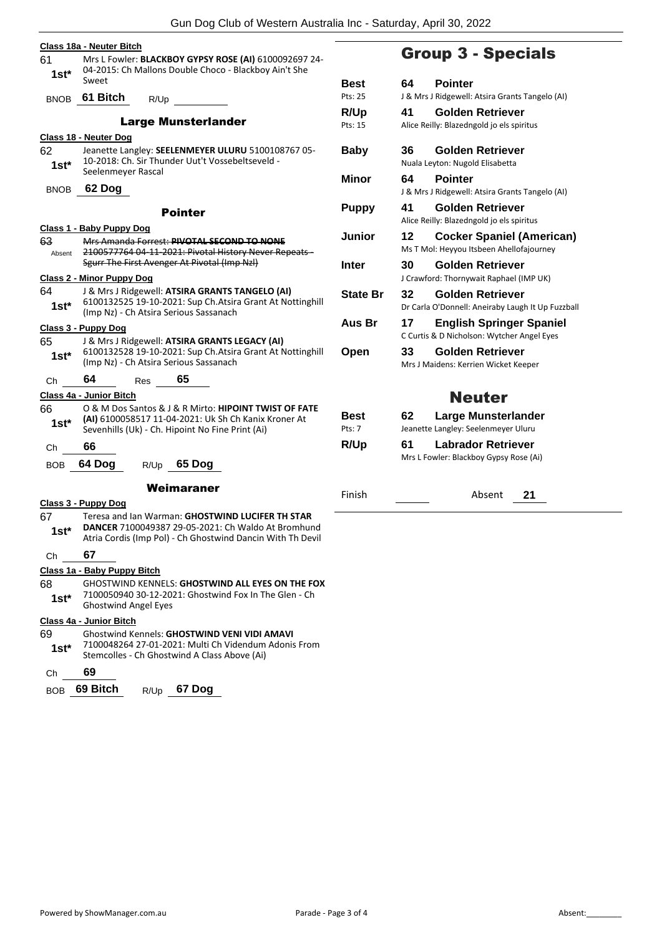| 61            | Class 18a - Neuter Bitch<br>Mrs L Fowler: BLACKBOY GYPSY ROSE (AI) 6100092697 24-                                                                                       |                                                                                                                                                                      |                |  |
|---------------|-------------------------------------------------------------------------------------------------------------------------------------------------------------------------|----------------------------------------------------------------------------------------------------------------------------------------------------------------------|----------------|--|
| $1st*$        | Sweet                                                                                                                                                                   | 04-2015: Ch Mallons Double Choco - Blackboy Ain't She                                                                                                                | Best           |  |
| <b>BNOB</b>   | 61 Bitch                                                                                                                                                                | R/Up                                                                                                                                                                 | Pts: 25        |  |
|               |                                                                                                                                                                         | <b>Large Munsterlander</b>                                                                                                                                           | R/Up           |  |
|               |                                                                                                                                                                         |                                                                                                                                                                      | Pts: 15        |  |
| 62<br>$1st*$  | Class 18 - Neuter Dog<br>Jeanette Langley: SEELENMEYER ULURU 5100108767 05-<br><b>Baby</b><br>10-2018: Ch. Sir Thunder Uut't Vossebeltseveld -                          |                                                                                                                                                                      |                |  |
| <b>BNOB</b>   | Seelenmeyer Rascal<br>Minor<br>62 Dog                                                                                                                                   |                                                                                                                                                                      |                |  |
|               |                                                                                                                                                                         |                                                                                                                                                                      |                |  |
|               |                                                                                                                                                                         | <b>Pointer</b>                                                                                                                                                       | <b>Puppy</b>   |  |
| 63            | Class 1 - Baby Puppy Dog                                                                                                                                                | Mrs Amanda Forrest: PIVOTAL SECOND TO NONE                                                                                                                           | Junio          |  |
| Absent        |                                                                                                                                                                         | 2100577764 04 11 2021: Pivotal History Never Repeats-<br>Sgurr The First Avenger At Pivotal (Imp Nzl)                                                                | <b>Inter</b>   |  |
|               | <b>Class 2 - Minor Puppy Dog</b>                                                                                                                                        |                                                                                                                                                                      |                |  |
| 64<br>$1st^*$ | J & Mrs J Ridgewell: ATSIRA GRANTS TANGELO (AI)<br><b>State</b><br>6100132525 19-10-2021: Sup Ch. Atsira Grant At Nottinghill<br>(Imp Nz) - Ch Atsira Serious Sassanach |                                                                                                                                                                      |                |  |
|               | <u> Class 3 - Puppy Dog</u>                                                                                                                                             |                                                                                                                                                                      | Aus B          |  |
| 65<br>1st*    | J & Mrs J Ridgewell: ATSIRA GRANTS LEGACY (AI)<br>6100132528 19-10-2021: Sup Ch. Atsira Grant At Nottinghill<br>Open<br>(Imp Nz) - Ch Atsira Serious Sassanach          |                                                                                                                                                                      |                |  |
| Сh            | 64                                                                                                                                                                      | 65<br>Res                                                                                                                                                            |                |  |
|               | Class 4a - Junior Bitch                                                                                                                                                 |                                                                                                                                                                      |                |  |
| 66<br>1st*    |                                                                                                                                                                         | O & M Dos Santos & J & R Mirto: HIPOINT TWIST OF FATE<br>(AI) 6100058517 11-04-2021: Uk Sh Ch Kanix Kroner At<br>Sevenhills (Uk) - Ch. Hipoint No Fine Print (Ai)    | Best<br>Pts: 7 |  |
| Сh            | 66                                                                                                                                                                      |                                                                                                                                                                      | R/Up           |  |
| <b>BOB</b>    | 64 Dog                                                                                                                                                                  | 65 Dog<br>R/Up                                                                                                                                                       |                |  |
|               |                                                                                                                                                                         | Weimaraner                                                                                                                                                           | Finish         |  |
|               | <u> Class 3 - Puppy Dog</u>                                                                                                                                             |                                                                                                                                                                      |                |  |
| 67<br>$1st*$  |                                                                                                                                                                         | Teresa and Ian Warman: GHOSTWIND LUCIFER TH STAR<br>DANCER 7100049387 29-05-2021: Ch Waldo At Bromhund<br>Atria Cordis (Imp Pol) - Ch Ghostwind Dancin With Th Devil |                |  |
| Ch            | 67                                                                                                                                                                      |                                                                                                                                                                      |                |  |
|               | Class 1a - Baby Puppy Bitch                                                                                                                                             |                                                                                                                                                                      |                |  |
| 68<br>$1st*$  | <b>GHOSTWIND KENNELS: GHOSTWIND ALL EYES ON THE FOX</b><br>7100050940 30-12-2021: Ghostwind Fox In The Glen - Ch<br><b>Ghostwind Angel Eyes</b>                         |                                                                                                                                                                      |                |  |
|               | Class 4a - Junior Bitch                                                                                                                                                 |                                                                                                                                                                      |                |  |
| 69<br>$1st^*$ | <b>Ghostwind Kennels: GHOSTWIND VENI VIDI AMAVI</b><br>7100048264 27-01-2021: Multi Ch Videndum Adonis From<br>Stemcolles - Ch Ghostwind A Class Above (Ai)             |                                                                                                                                                                      |                |  |
| Ch            | 69                                                                                                                                                                      |                                                                                                                                                                      |                |  |

BOB **69 Bitch** R/Up **67 Dog**

## Group 3 - Specials

| <b>Best</b>     | 64. | <b>Pointer</b>                                                                |
|-----------------|-----|-------------------------------------------------------------------------------|
| Pts: 25         |     | J & Mrs J Ridgewell: Atsira Grants Tangelo (AI)                               |
| <b>R/Up</b>     | 41  | Golden Retriever                                                              |
| Pts: 15         |     | Alice Reilly: Blazedngold jo els spiritus                                     |
| Baby            | 36  | Golden Retriever                                                              |
|                 |     | Nuala Leyton: Nugold Elisabetta                                               |
| Minor           | 64  | <b>Pointer</b>                                                                |
|                 |     | J & Mrs J Ridgewell: Atsira Grants Tangelo (AI)                               |
| <b>Puppy</b>    | 41  | <b>Golden Retriever</b>                                                       |
|                 |     | Alice Reilly: Blazedngold jo els spiritus                                     |
| Junior          | 12  | <b>Cocker Spaniel (American)</b>                                              |
|                 |     | Ms T Mol: Heyyou Itsbeen Ahellofajourney                                      |
| Inter           | 30  | Golden Retriever                                                              |
|                 |     | J Crawford: Thornywait Raphael (IMP UK)                                       |
| <b>State Br</b> | 32  | Golden Retriever                                                              |
|                 |     | Dr Carla O'Donnell: Aneiraby Laugh It Up Fuzzball                             |
| Aus Br          | 17  | <b>English Springer Spaniel</b><br>C Curtis & D Nicholson: Wytcher Angel Eyes |
| Open            | 33  | Golden Retriever                                                              |
|                 |     | Mrs J Maidens: Kerrien Wicket Keeper                                          |
|                 |     |                                                                               |
|                 |     | <b>Neuter</b>                                                                 |
| <b>Best</b>     | 62  | Large Munsterlander                                                           |
| Pts: 7          |     | Jeanette Langley: Seelenmeyer Uluru                                           |
| R/Up            | 61  | <b>Labrador Retriever</b>                                                     |
|                 |     | Mrs L Fowler: Blackboy Gypsy Rose (Ai)                                        |
|                 |     |                                                                               |

Absent 21